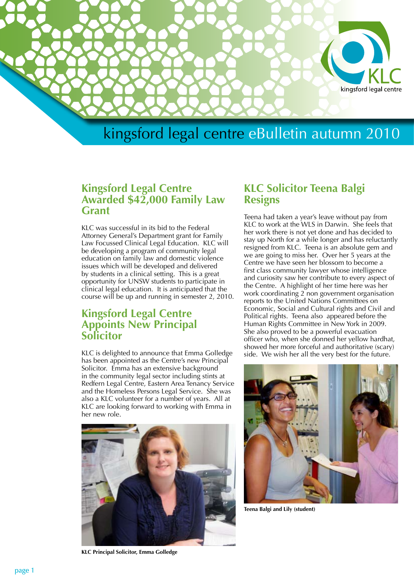

### **Kingsford Legal Centre Awarded \$42,000 Family Law Grant**

KLC was successful in its bid to the Federal Attorney General's Department grant for Family Law Focussed Clinical Legal Education. KLC will be developing a program of community legal education on family law and domestic violence issues which will be developed and delivered by students in a clinical setting. This is a great opportunity for UNSW students to participate in clinical legal education. It is anticipated that the course will be up and running in semester 2, 2010.

### **Kingsford Legal Centre Appoints New Principal Solicitor**

KLC is delighted to announce that Emma Golledge has been appointed as the Centre's new Principal Solicitor. Emma has an extensive background in the community legal sector including stints at Redfern Legal Centre, Eastern Area Tenancy Service and the Homeless Persons Legal Service. She was also a KLC volunteer for a number of years. All at KLC are looking forward to working with Emma in her new role.



#### **KLC Principal Solicitor, Emma Golledge**

### **KLC Solicitor Teena Balgi Resigns**

Teena had taken a year's leave without pay from KLC to work at the WLS in Darwin. She feels that her work there is not yet done and has decided to stay up North for a while longer and has reluctantly resigned from KLC. Teena is an absolute gem and we are going to miss her. Over her 5 years at the Centre we have seen her blossom to become a first class community lawyer whose intelligence and curiosity saw her contribute to every aspect of the Centre. A highlight of her time here was her work coordinating 2 non government organisation reports to the United Nations Committees on Economic, Social and Cultural rights and Civil and Political rights. Teena also appeared before the Human Rights Committee in New York in 2009. She also proved to be a powerful evacuation officer who, when she donned her yellow hardhat, showed her more forceful and authoritative (scary) side. We wish her all the very best for the future.



**Teena Balgi and Lily (student)**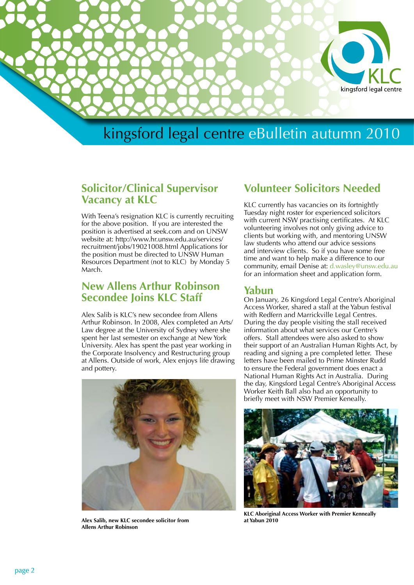

### **Solicitor/Clinical Supervisor Vacancy at KLC**

With Teena's resignation KLC is currently recruiting for the above position. If you are interested the position is advertised at seek.com and on UNSW website at: http://www.hr.unsw.edu.au/services/ recruitment/jobs/19021008.html Applications for the position must be directed to UNSW Human Resources Department (not to KLC) by Monday 5 March.

### **New Allens Arthur Robinson Secondee Joins KLC Staff**

Alex Salib is KLC's new secondee from Allens Arthur Robinson. In 2008, Alex completed an Arts/ Law degree at the University of Sydney where she spent her last semester on exchange at New York University. Alex has spent the past year working in the Corporate Insolvency and Restructuring group at Allens. Outside of work, Alex enjoys life drawing and pottery.



**Alex Salib, new KLC secondee solicitor from Allens Arthur Robinson**

### **Volunteer Solicitors Needed**

KLC currently has vacancies on its fortnightly Tuesday night roster for experienced solicitors with current NSW practising certificates. At KLC volunteering involves not only giving advice to clients but working with, and mentoring UNSW law students who attend our advice sessions and interview clients. So if you have some free time and want to help make a difference to our community, email Denise at: d.wasley@unsw.edu.au for an information sheet and application form.

#### **Yabun**

On January, 26 Kingsford Legal Centre's Aboriginal Access Worker, shared a stall at the Yabun festival with Redfern and Marrickville Legal Centres. During the day people visiting the stall received information about what services our Centre's offers. Stall attendees were also asked to show their support of an Australian Human Rights Act, by reading and signing a pre completed letter. These letters have been mailed to Prime Minster Rudd to ensure the Federal government does enact a National Human Rights Act in Australia. During the day, Kingsford Legal Centre's Aboriginal Access Worker Keith Ball also had an opportunity to briefly meet with NSW Premier Keneally.



**KLC Aboriginal Access Worker with Premier Kenneally at Yabun 2010**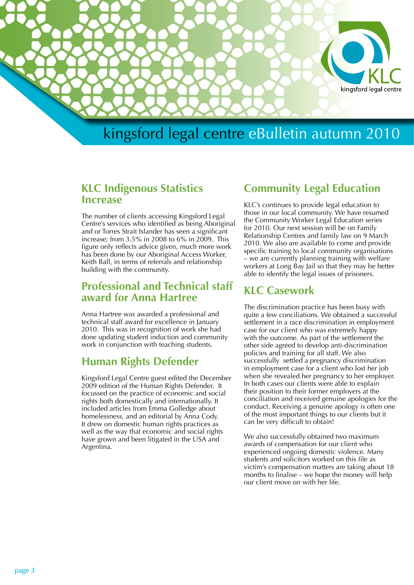

### **KLC Indigenous Statistics Increase**

The number of clients accessing Kingsford Legal Centre's services who identified as being Aboriginal and or Torres Strait Islander has seen a significant increase; from 3.5% in 2008 to 6% in 2009. This figure only reflects advice given, much more work has been done by our Aboriginal Access Worker, Keith Ball, in terms of referrals and relationship building with the community.

### **Professional and Technical staff award for Anna Hartree**

Anna Hartree was awarded a professional and technical staff award for excellence in January 2010. This was in recognition of work she had done updating student induction and community work in conjunction with teaching students.

### **Human Rights Defender**

Kingsford Legal Centre guest edited the December 2009 edition of the Human Rights Defender. It focussed on the practice of economic and social rights both domestically and internationally. It included articles from Emma Golledge about homelessness, and an editorial by Anna Cody. It drew on domestic human rights practices as well as the way that economic and social rights have grown and been litigated in the USA and Argentina.

### **Community Legal Education**

KLC's continues to provide legal education to those in our local community. We have resumed the Community Worker Legal Education series for 2010. Our next session will be on Family Relationship Centres and family law on 9 March 2010. We also are available to come and provide specific training to local community organisations – we are currently planning training with welfare workers at Long Bay Jail so that they may be better able to identify the legal issues of prisoners.

### **KLC Casework**

The discrimination practice has been busy with quite a few conciliations. We obtained a successful settlement in a race discrimination in employment case for our client who was extremely happy with the outcome. As part of the settlement the other side agreed to develop anti-discrimination policies and training for all staff. We also successfully settled a pregnancy discrimination in employment case for a client who lost her job when she revealed her pregnancy to her employer. In both cases our clients were able to explain their position to their former employers at the conciliation and received genuine apologies for the conduct. Receiving a genuine apology is often one of the most important things to our clients but it can be very difficult to obtain!

We also successfully obtained two maximum awards of compensation for our client who experienced ongoing domestic violence. Many students and solicitors worked on this file as victim's compensation matters are taking about 18 months to finalise – we hope the money will help our client move on with her life.